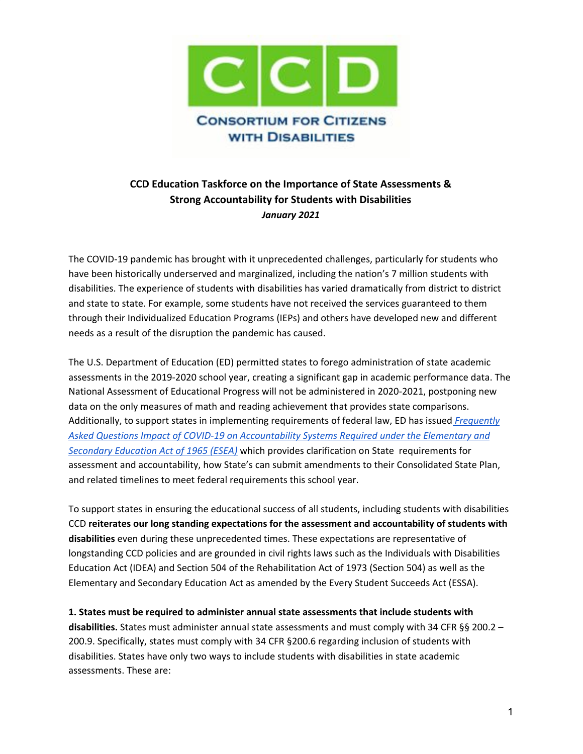

## **CCD Education Taskforce on the Importance of State Assessments & Strong Accountability for Students with Disabilities** *January 2021*

The COVID-19 pandemic has brought with it unprecedented challenges, particularly for students who have been historically underserved and marginalized, including the nation's 7 million students with disabilities. The experience of students with disabilities has varied dramatically from district to district and state to state. For example, some students have not received the services guaranteed to them through their Individualized Education Programs (IEPs) and others have developed new and different needs as a result of the disruption the pandemic has caused.

The U.S. Department of Education (ED) permitted states to forego administration of state academic assessments in the 2019-2020 school year, creating a significant gap in academic performance data. The National Assessment of Educational Progress will not be administered in 2020-2021, postponing new data on the only measures of math and reading achievement that provides state comparisons. Additionally, to support states in implementing requirements of federal law, ED has issued *[Frequently](https://oese.ed.gov/files/2021/01/State-Plan-Accountability-2020-2021-FAQ-final.pdf) Asked Questions Impact of COVID-19 on [Accountability](https://oese.ed.gov/files/2021/01/State-Plan-Accountability-2020-2021-FAQ-final.pdf) Systems Required under the Elementary and [Secondary](https://oese.ed.gov/files/2021/01/State-Plan-Accountability-2020-2021-FAQ-final.pdf) Education Act of 1965 (ESEA)* which provides clarification on State requirements for assessment and accountability, how State's can submit amendments to their Consolidated State Plan, and related timelines to meet federal requirements this school year.

To support states in ensuring the educational success of all students, including students with disabilities CCD **reiterates our long standing expectations for the assessment and accountability of students with disabilities** even during these unprecedented times. These expectations are representative of longstanding CCD policies and are grounded in civil rights laws such as the Individuals with Disabilities Education Act (IDEA) and Section 504 of the Rehabilitation Act of 1973 (Section 504) as well as the Elementary and Secondary Education Act as amended by the Every Student Succeeds Act (ESSA).

**1. States must be required to administer annual state assessments that include students with disabilities.** States must administer annual state assessments and must comply with 34 CFR §§ 200.2 – 200.9. Specifically, states must comply with 34 CFR §200.6 regarding inclusion of students with disabilities. States have only two ways to include students with disabilities in state academic assessments. These are: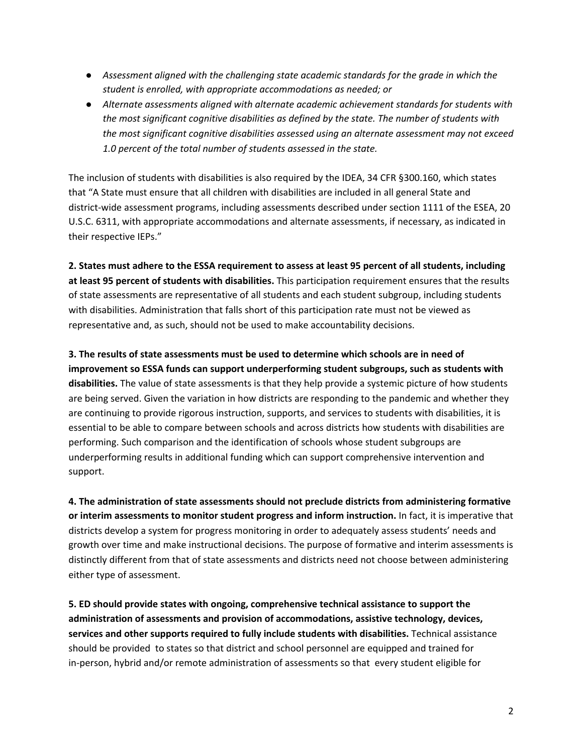- *● Assessment aligned with the challenging state academic standards for the grade in which the student is enrolled, with appropriate accommodations as needed; or*
- *● Alternate assessments aligned with alternate academic achievement standards for students with the most significant cognitive disabilities as defined by the state. The number of students with the most significant cognitive disabilities assessed using an alternate assessment may not exceed 1.0 percent of the total number of students assessed in the state.*

The inclusion of students with disabilities is also required by the IDEA, 34 CFR §300.160, which states that "A State must ensure that all children with disabilities are included in all general State and district-wide assessment programs, including assessments described under section 1111 of the ESEA, 20 U.S.C. 6311, with appropriate accommodations and alternate assessments, if necessary, as indicated in their respective IEPs."

2. States must adhere to the ESSA requirement to assess at least 95 percent of all students, including **at least 95 percent of students with disabilities.** This participation requirement ensures that the results of state assessments are representative of all students and each student subgroup, including students with disabilities. Administration that falls short of this participation rate must not be viewed as representative and, as such, should not be used to make accountability decisions.

**3. The results of state assessments must be used to determine which schools are in need of improvement so ESSA funds can support underperforming student subgroups, such as students with disabilities.** The value of state assessments is that they help provide a systemic picture of how students are being served. Given the variation in how districts are responding to the pandemic and whether they are continuing to provide rigorous instruction, supports, and services to students with disabilities, it is essential to be able to compare between schools and across districts how students with disabilities are performing. Such comparison and the identification of schools whose student subgroups are underperforming results in additional funding which can support comprehensive intervention and support.

**4. The administration of state assessments should not preclude districts from administering formative or interim assessments to monitor student progress and inform instruction.** In fact, it is imperative that districts develop a system for progress monitoring in order to adequately assess students' needs and growth over time and make instructional decisions. The purpose of formative and interim assessments is distinctly different from that of state assessments and districts need not choose between administering either type of assessment.

**5. ED should provide states with ongoing, comprehensive technical assistance to support the administration of assessments and provision of accommodations, assistive technology, devices, services and other supports required to fully include students with disabilities.** Technical assistance should be provided to states so that district and school personnel are equipped and trained for in-person, hybrid and/or remote administration of assessments so that every student eligible for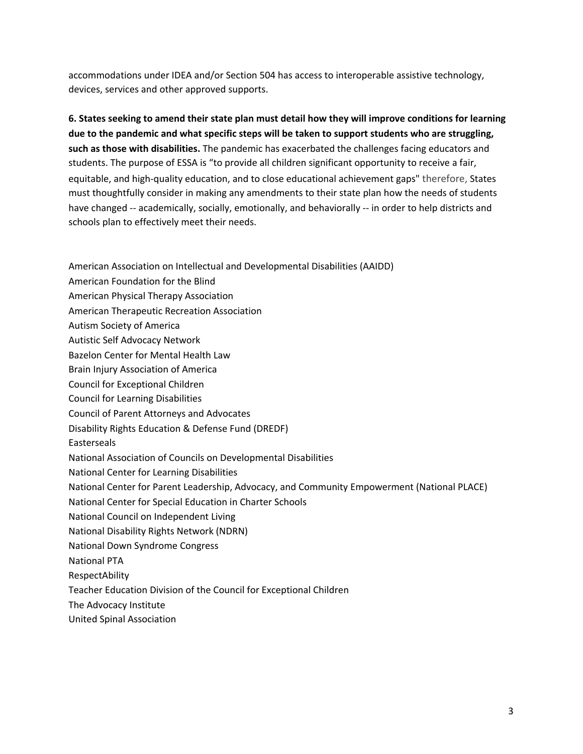accommodations under IDEA and/or Section 504 has access to interoperable assistive technology, devices, services and other approved supports.

**6. States seeking to amend their state plan must detail how they will improve conditions for learning due to the pandemic and what specific steps will be taken to support students who are struggling, such as those with disabilities.** The pandemic has exacerbated the challenges facing educators and students. The purpose of ESSA is "to provide all children significant opportunity to receive a fair, equitable, and high-quality education, and to close educational achievement gaps" therefore, States must thoughtfully consider in making any amendments to their state plan how the needs of students have changed -- academically, socially, emotionally, and behaviorally -- in order to help districts and schools plan to effectively meet their needs.

- American Association on Intellectual and Developmental Disabilities (AAIDD)
- American Foundation for the Blind
- American Physical Therapy Association
- American Therapeutic Recreation Association
- Autism Society of America
- Autistic Self Advocacy Network
- Bazelon Center for Mental Health Law
- Brain Injury Association of America
- Council for Exceptional Children
- Council for Learning Disabilities
- Council of Parent Attorneys and Advocates
- Disability Rights Education & Defense Fund (DREDF)
- **Easterseals**
- National Association of Councils on Developmental Disabilities
- National Center for Learning Disabilities
- National Center for Parent Leadership, Advocacy, and Community Empowerment (National PLACE)
- National Center for Special Education in Charter Schools
- National Council on Independent Living
- National Disability Rights Network (NDRN)
- National Down Syndrome Congress
- National PTA
- RespectAbility
- Teacher Education Division of the Council for Exceptional Children
- The Advocacy Institute
- United Spinal Association